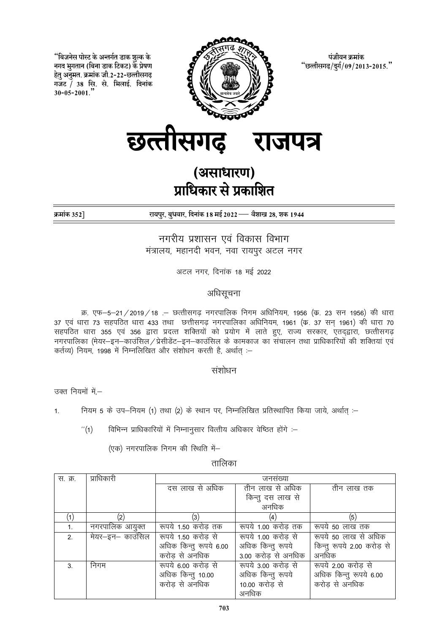"बिजनेस पोस्ट के अन्तर्गत डाक शल्क के नगद भगतान (बिना डाक टिकट) के प्रेषण हेतू अनुमत. क्रमांक जी.2-22-छत्तीसगढ़ गजट / 38 सि. से. भिलाई. दिनांक  $30 - 05 - 2001$ .



पंजीयन क्रमांक "छत्तीसगढ/दुर्ग/09/2013-2015."

छत्तीसगढ राजपत्र

# (असाधारण) प्राधिकार से प्रकाशित

क्रमांक 352]

रायपुर, बुधवार, दिनांक 18 मई 2022 — वैशाख 28, शक 1944

नगरीय प्रशासन एवं विकास विभाग मंत्रालय, महानदी भवन, नवा रायपूर अटल नगर

अटल नगर, दिनांक 18 मई 2022

# अधिसूचना

क्र. एफ-5-21/2019/18 .– छत्तीसगढ़ नगरपालिक निगम अधिनियम, 1956 (क. 23 सन 1956) की धारा 37 एवं धारा 73 सहपठित धारा 433 तथा छत्तीसगढ़ नगरपालिका अधिनियम, 1961 (क. 37 सन् 1961) की धारा 70 सहपठित धारा 355 एवं 356 द्वारा प्रदत्त शक्तियों को प्रयोग में लाते हुए, राज्य सरकार, एतदृद्वारा, छत्तीसगढ़ नगरपालिका (मेयर–इन–काउंसिल / प्रेसीडेंट–इन–काउंसिल के कामकाज का संचालन तथा प्राधिकारियों की शक्तियां एवं कर्तव्य) नियम 1998 में निम्नलिखित और संशोधन करती है. अर्थात :-

## संशोधन

उक्त नियमों में –

नियम 5 के उप-नियम (1) तथा (2) के स्थान पर, निम्नलिखित प्रतिस्थापित किया जाये, अर्थात :- $\mathbf{1}$ .

विभिन्न प्राधिकारियों में निम्नानुसार वित्तीय अधिकार वेष्ठित होंगे :- $^{\prime\prime}(1)$ 

(एक) नगरपालिक निगम की स्थिति में-

तालिका

| स. क्र.        | प्राधिकारी        | जनसख्या                |                     |                            |
|----------------|-------------------|------------------------|---------------------|----------------------------|
|                |                   |                        |                     |                            |
|                |                   | दस लाख से अधिक         | तीन लाख से अधिक     | तीन लाख तक                 |
|                |                   |                        | किन्तु दस लाख से    |                            |
|                |                   |                        | अनधिक               |                            |
|                | $\left( 2\right)$ | (3)                    | (4)                 | (5)                        |
| $\mathbf{1}$ . | नगरपालिक आयुक्त   | रूपये 1.50 करोड़ तक    | रूपये 1.00 करोड़ तक | रूपये 50 लाख तक            |
| 2 <sup>1</sup> | मेयर—इन— काउंसिल  | रूपये 1.50 करोड से     | रूपये 1.00 करोड से  | रूपये 50 लाख से अधिक       |
|                |                   | अधिक किन्तु रूपये 6.00 | अधिक किन्तु रूपये   | किन्तू रूपये 2.00 करोड़ से |
|                |                   | करोड से अनधिक          | 3.00 करोड से अनधिक  | अनधिक                      |
| 3              | निगम              | रूपये 6.00 करोड से     | रूपये 3.00 करोड से  | रूपये 2.00 करोड से         |
|                |                   | अधिक किन्तु 10.00      | अधिक किन्तु रूपये   | अधिक किन्तु रूपये 6.00     |
|                |                   | करोड से अनधिक          | 10.00 करोड़ से      | करोड से अनधिक              |
|                |                   |                        | अनधिक               |                            |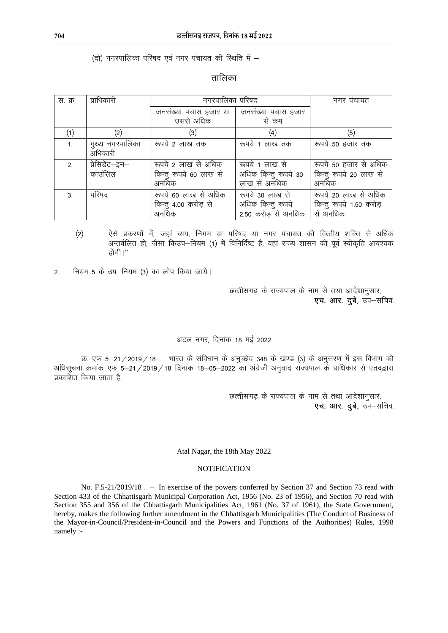## (दो) नगरपालिका परिषद एवं नगर पंचायत की स्थिति में -

तालिका

| स. क्र.       | प्राधिकारी                 | नगरपालिका परिषद                                        |                                                             | नगर पंचायत                                                  |
|---------------|----------------------------|--------------------------------------------------------|-------------------------------------------------------------|-------------------------------------------------------------|
|               |                            | जनसंख्या पचास हजार या   जनसंख्या पचास हजार             |                                                             |                                                             |
|               |                            | उससे अधिक                                              | से कम                                                       |                                                             |
|               | $\left( 2\right)$          | (3)                                                    | $\left( 4\right)$                                           | (5)                                                         |
| 1.            | मुख्य नगरपालिका<br>अधिकारी | रूपये 2 लाख तक                                         | रूपये 1 लाख तक                                              | रूपये 50 हजार तक                                            |
| $\mathcal{P}$ | प्रेसिडेंट–इन–<br>काउंसिल  | रूपये 2 लाख से अधिक<br>किन्तु रूपये 60 लाख से<br>अनधिक | रूपये 1 लाख से<br>अधिक किन्तु रूपये 30<br>लाख से अनधिक      | रूपये 50 हजार से अधिक<br>किन्तु रूपये 20 लाख से<br>अनधिक    |
| 3             | परिषद                      | रूपये 60 लाख से अधिक<br>किन्तु 4.00 करोड़ से<br>अनधिक  | रूपये 30 लाख से<br>अधिक किन्तु रूपये<br>2.50 करोड़ से अनधिक | रूपये 20 लाख से अधिक<br>किन्तु रूपये 1.50 करोड़<br>से अनधिक |

- $(2)$ ऐसे प्रकरणों में, जहां व्यय, निगम या परिषद या नगर पंचायत की वित्तीय शक्ति से अधिक अन्तर्वलित हो, जैसा किउप–नियम (1) में विनिर्दिष्ट है, वहां राज्य शासन की पूर्व स्वीकृति आवश्यक होगी।''
- नियम 5 के उप-नियम (3) का लोप किया जाये।  $\overline{2}$ .

छत्तीसगढ़ के राज्यपाल के नाम से तथा आदेशानुसार, एच. आर. दुबे, उप-सचिव.

## अटल नगर. दिनांक 18 मई 2022

क्र. एफ 5-21/2019/18 .- भारत के संविधान के अनुच्छेद 348 के खण्ड (3) के अनुसरण में इस विभाग की अधिसूचना क्रमांक एफ 5–21/2019/18 दिनांक 18–05–2022 का अंग्रेजी अनुवाद राज्यपाल के प्राधिकार से एतद्द्वारा प्रकाशित किया जाता है.

> छत्तीसगढ़ के राज्यपाल के नाम से तथा आदेशानुसार, एच. आर. दूबे, उप-सचिव.

#### Atal Nagar, the 18th May 2022

#### **NOTIFICATION**

No. F.5-21/2019/18 . - In exercise of the powers conferred by Section 37 and Section 73 read with Section 433 of the Chhattisgarh Municipal Corporation Act, 1956 (No. 23 of 1956), and Section 70 read with Section 355 and 356 of the Chhattisgarh Municipalities Act, 1961 (No. 37 of 1961), the State Government, hereby, makes the following further amendment in the Chhattisgarh Municipalities (The Conduct of Business of the Mayor-in-Council/President-in-Council and the Powers and Functions of the Authorities) Rules, 1998 namely :-